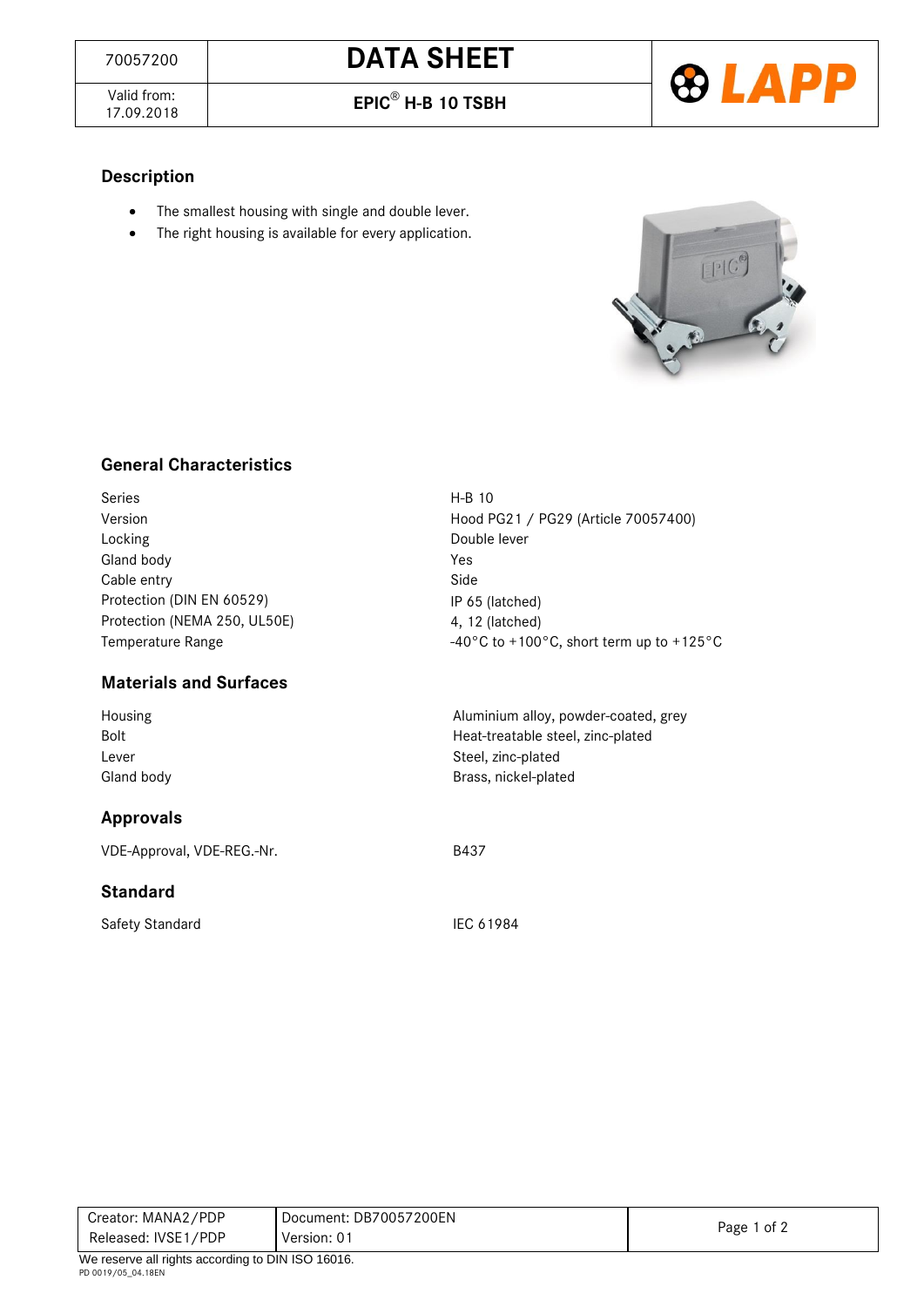Valid from:<br>17.09.2018

17.09.2018 **EPIC**® **H-B 10 TSBH**



## **Description**

- The smallest housing with single and double lever.
- The right housing is available for every application.



## **General Characteristics**

| <b>Series</b>                | $H-B$ 10                                 |
|------------------------------|------------------------------------------|
| Version                      | Hood PG21 / PG29 (Article 70057400)      |
| Locking                      | Double lever                             |
| Gland body                   | Yes                                      |
| Cable entry                  | Side                                     |
| Protection (DIN EN 60529)    | IP 65 (latched)                          |
| Protection (NEMA 250, UL50E) | 4, 12 (latched)                          |
| Temperature Range            | -40°C to +100°C, short term up to +125°C |
|                              |                                          |

#### **Materials and Surfaces**

| Housing    | Aluminium alloy, powder-coated, grey |
|------------|--------------------------------------|
| Bolt       | Heat-treatable steel, zinc-plated    |
| Lever      | Steel, zinc-plated                   |
| Gland body | Brass, nickel-plated                 |

### **Approvals**

VDE-Approval, VDE-REG.-Nr. Sandbook and the B437

#### **Standard**

Safety Standard IEC 61984

| Creator: MANA2/PDP                                     | Document: DB70057200EN |             |
|--------------------------------------------------------|------------------------|-------------|
| Released: IVSE1/PDP                                    | Version: 01            | Page 1 of 2 |
| $M_{\odot}$ resems all rights associated DIN ICO 16016 |                        |             |